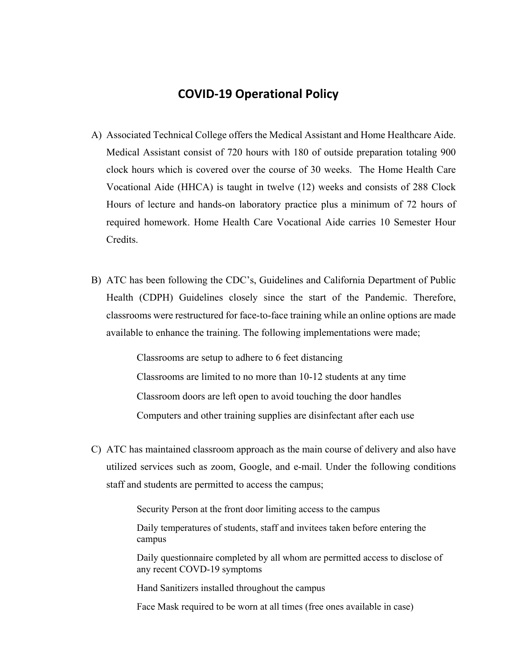## **COVID‐19 Operational Policy**

- A) Associated Technical College offers the Medical Assistant and Home Healthcare Aide. Medical Assistant consist of 720 hours with 180 of outside preparation totaling 900 clock hours which is covered over the course of 30 weeks. The Home Health Care Vocational Aide (HHCA) is taught in twelve (12) weeks and consists of 288 Clock Hours of lecture and hands-on laboratory practice plus a minimum of 72 hours of required homework. Home Health Care Vocational Aide carries 10 Semester Hour Credits.
- B) ATC has been following the CDC's, Guidelines and California Department of Public Health (CDPH) Guidelines closely since the start of the Pandemic. Therefore, classrooms were restructured for face-to-face training while an online options are made available to enhance the training. The following implementations were made;

 Classrooms are setup to adhere to 6 feet distancing Classrooms are limited to no more than 10-12 students at any time Classroom doors are left open to avoid touching the door handles Computers and other training supplies are disinfectant after each use

C) ATC has maintained classroom approach as the main course of delivery and also have utilized services such as zoom, Google, and e-mail. Under the following conditions staff and students are permitted to access the campus;

Security Person at the front door limiting access to the campus

 Daily temperatures of students, staff and invitees taken before entering the campus

 Daily questionnaire completed by all whom are permitted access to disclose of any recent COVD-19 symptoms

Hand Sanitizers installed throughout the campus

Face Mask required to be worn at all times (free ones available in case)